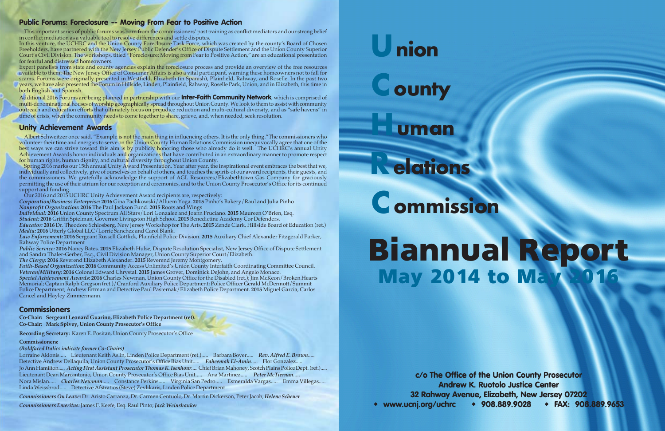# Union

**County** 

## uman

## Relations

# **C** ommission

# **May 2014 to May Biannual Report**

**c/o The Office of the Union County Prosecutor Andrew K. Ruotolo Justice Center 32 Rahway Avenue, Elizabeth, New Jersey 07202 www.ucnj.org/uchrc 908.889.9028 FAX: 908.889.9653**

## **Public Forums: Foreclosure -- Moving From Fear to Positive Action**

This important series of public forums was born from the commissioners' past training as conflict mediators and our strong belief in conflict mediation as a valuable tool to resolve differences and settle disputes.

In this venture, the UCHRC and the Union County Foreclosure Task Force, which was created by the county's Board of Chosen Freeholders, have partnered with the New Jersey Public Defender's Office of Dispute Settlement and the Union County Superior Court's Civil Division. The workshops, titled "Foreclosure: Moving from Fear to Positive Action," are an educational presentation for fearful and distressed homeowners.

Expert panelists from state and county agencies explain the foreclosure process and provide an overview of the free resources available to them. The New Jersey Office of Consumer Affairs is also a vital participant, warning these homeowners not to fall for scams. Forums were originally presented in Westfield, Elizabeth (in Spanish), Plainfield, Rahway, and Roselle. In the past two years, we have also presented the Forum in Hillside, Linden, Plainfield, Rahway, Roselle Park, Union, and in Elizabeth, this time in both English and Spanish.

Additional 2016 Forums are being planned in partnership with our **Inter-Faith Community Network**, which is comprised of multi-denominational houses of worship geographically spread throughout Union County. We look to them to assist with community outreach and education efforts that ultimately focus on prejudice reduction and multi-cultural diversity, and as "safe havens" in time of crisis, when the community needs to come together to share, grieve, and, when needed, seek resolution.

## **Unity Achievement Awards**

Albert Schweitzer once said, "Example is not the main thing in influencing others. It is the only thing."The commissioners who volunteer their time and energies to serve on the Union County Human Relations Commission unequivocally agree that one of the best ways we can strive toward this aim is by publicly honoring those who already do it well. The UCHRC's annual Unity Achievement Awards honor individuals and organizations that have contributed in an extraordinary manner to promote respect for human rights, human dignity, and cultural diversity throughout Union County.

Spring 2016 marks our 15th annual Unity Award Presentation. Year after year, the inspirational event embraces the best that we, individually and collectively, give of ourselves on behalf of others, and touches the spirits of our award recipients, their guests, and the commissioners. We gratefully acknowledge the support of AGL Resources/Elizabethtown Gas Company for graciously permitting the use of their atrium for our reception and ceremonies, and to the Union County Prosecutor's Office for its continued support and funding.

Our 2016 and 2015 UCHRC Unity Achievement Award recipients are, respectively:

*Corporation/Business Enterprise:* **2016** Gina Pachkowski/Alluem Yoga. **2015** Pinho's Bakery/Raul and Julia Pinho *Nonprofit Organization:* **2016** The Paul Jackson Fund. **2015** Roots and Wings

*Individual:* **2016** Union County Spectrum All Stars/Lori Gonzalez and Joann Fruciano. **2015** Maureen O'Brien, Esq.

*Student:* **2016** Griffin Spielman, Governor Livingston High School. **2015** Benedictine Academy Cor Defenders.

*Educator:* **2016** Dr. Theodore Schlosberg, New Jersey Workshop for The Arts. **2015** Zende Clark, Hillside Board of Education (ret.) *Media:* **2016** Utterly Global LLC/Lorrie Sanchez and Carol Blank.

*Law Enforcement:* **2016** Sergeant Russell Gottlick, Plainfield Police Division. **2015** Auxiliary Chief Alexander Fitzgerald Parker, Rahway Police Department

*Public Service:* **2016** Nancy Bates. **2015** Elizabeth Hulse, Dispute Resolution Specialist, New Jersey Office of Dispute Settlement and Sandra Thaler-Gerber, Esq., Civil Division Manager, Union County Superior Court/Elizabeth.

*The Clergy:* **2016** Reverend Elizabeth Alexander. **2015** Reverend Jeremy Montgomery.

*Faith-Based Organization:* **2016** Community Access Unlimited's Union County Interfaith Coordinating Committee Council. *Veteran/Military:* **2016** Colonel Edward Chrystal. **2015** James Grover, Dominick DeJohn, and Angelo Monaco.

*Special Achievement Awards:* **<sup>2016</sup>** Charles Newman, Union County Office for the Disabled (ret.); Jim McKeon/Broken Hearts Memorial; Captain Ralph Gregson (ret.)/Cranford Auxiliary Police Department; Police Officer Gerald McDermott/Summit Police Department; Andrew Ertman and Detective Paul Pasternak/Elizabeth Police Department. **2015** Miguel Garcia, Carlos Cancel and Hayley Zimmermann.

## **Commissioners**

**Co-Chair: Sergeant Leonard Guarino, Elizabeth Police Department (ret). Co-Chair: Mark Spivey, Union County Prosecutor's Office**

**Recording Secretary:** Karen E. Positan, Union County Prosecutor's Office

#### **Commissioners:**

*(Boldfaced Italics indicate former Co-Chairs)*

Lorraine Aklonis..... Lieutenant Keith Aslin, Linden Police Department (ret.)..... Barbara Boyer..... *Rev. Alfred E. Brown*..... Detective Andrew Dellaquila, Union County Prosecutor's Office Bias Unit..... *Faheemah El-Amin*..... Flor Gonzalez..... Jo Ann Hamilton..... *Acting First Assistant Prosecutor Thomas K. Isenhour*..... Chief Brian Mahoney, Scotch Plains Police Dept. (ret.)..... Lieutenant Dean Marcantonio, Union County Prosecutor's Office Bias Unit..... Ana Martinez..... *Peter McTiernan*..... Nora Mislan..... *Charles Newman*..... Constance Perkins..... Virginia San Pedro..... Esmeralda Vargas..... Emma Villegas..... Linda Weissbrod..... Detective Afstratios (Steve) Zevlikaris, Linden Police Department

*Commissioners On Leave:* Dr. Aristo Carranza, Dr. Carmen Centuolo, Dr. Martin Dickerson, Peter Jacob, *Helene Scheuer*

*Commissioners Emeritus:* James F. Keefe, Esq. Raul Pinto;*Jack Weinshanker*